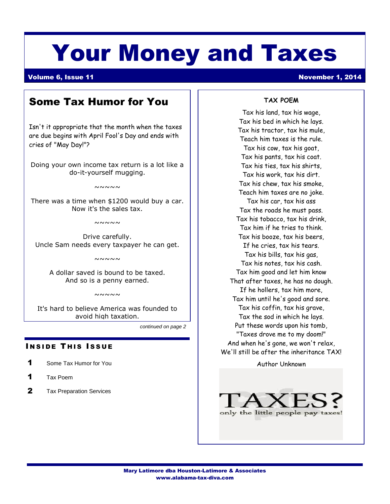# Your Money and Taxes

# Volume 6, Issue 11 November 1, 2014

# Some Tax Humor for You

Isn't it appropriate that the month when the taxes are due begins with April Fool's Day and ends with cries of "May Day!"?

Doing your own income tax return is a lot like a do-it-yourself mugging.

 $~\sim~\sim~\sim~\sim~$ 

There was a time when \$1200 would buy a car. Now it's the sales tax.

 $~\sim~\sim~\sim~\sim~$ 

Drive carefully. Uncle Sam needs every taxpayer he can get.

 $~\sim~\sim~\sim~\sim~$ 

A dollar saved is bound to be taxed. And so is a penny earned.

 $~\sim\sim\sim\sim\sim$ 

It's hard to believe America was founded to avoid high taxation.

the Insert Reference To. Select the name of the follow-

*continued on page 2*

### **INSIDE THIS ISSUE**  $h(x) = h(x)$  and  $h(x) = h(x)$

- **1** Some Tax Humor for You
- 1 Tax Poem
- $2$  Tax Preparation Services

## **TAX POEM**

Tax his land, tax his wage, Tax his bed in which he lays. Tax his tractor, tax his mule, Teach him taxes is the rule. Tax his cow, tax his goat, Tax his pants, tax his coat. Tax his ties, tax his shirts, Tax his work, tax his dirt. Tax his chew, tax his smoke, Teach him taxes are no joke. Tax his car, tax his ass Tax the roads he must pass. Tax his tobacco, tax his drink, Tax him if he tries to think. Tax his booze, tax his beers, If he cries, tax his tears. Tax his bills, tax his gas, Tax his notes, tax his cash. Tax him good and let him know That after taxes, he has no dough. If he hollers, tax him more, Tax him until he's good and sore. Tax his coffin, tax his grave, Tax the sod in which he lays. Put these words upon his tomb, "Taxes drove me to my doom!" And when he's gone, we won't relax, We'll still be after the inheritance TAX!

Author Unknown